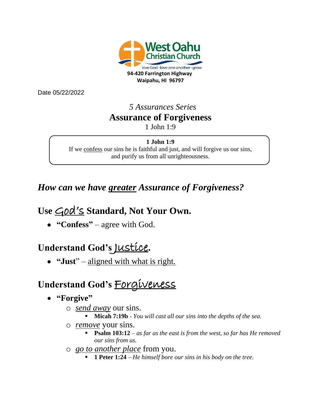

Date 05/22/2022

### *5 Assurances Series* **Assurance of Forgiveness** 1 John 1:9

#### **1 John 1:9**

If we confess our sins he is faithful and just, and will forgive us our sins, and purify us from all unrighteousness.

### *How can we have greater Assurance of Forgiveness?*

## Use *God's* Standard, Not Your Own.

• **"Confess"** – agree with God.

## **Understand God's** Justice**.**

• **"Just**" – aligned with what is right.

# **Understand God's** Forgiveness

- **"Forgive"**
	- o *send away* our sins.
		- **Micah 7:19b** *- You will cast all our sins into the depths of the sea.*
	- o *remove* your sins.
		- **Psalm 103:12**  *as far as the east is from the west, so far has He removed our sins from us.*
	- o *go to another place* from you.
		- **1 Peter 1:24** *− He himself bore our sins in his body on the tree.*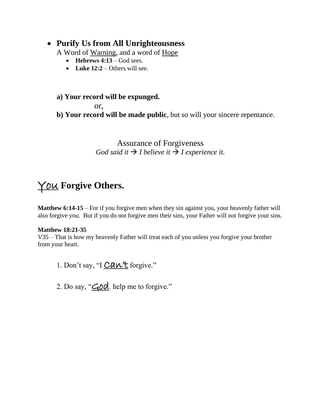### • **Purify Us from All Unrighteousness**

A Word of Warning, and a word of Hope

- **Hebrews 4:13** God sees.
- Luke  $12:2$  Others will see.

#### **a) Your record will be expunged.**

or,

**b) Your record will be made public**, but so will your sincere repentance.

#### Assurance of Forgiveness *God said it*  $\rightarrow$  *I believe it*  $\rightarrow$  *I experience it.*

## You **Forgive Others.**

**Matthew 6:14-15** – For if you forgive men when they sin against you, your heavenly father will also forgive you. But if you do not forgive men their sins, your Father will not forgive your sins.

#### **Matthew 18:21-35**

V35 – That is how my heavenly Father will treat each of you unless you forgive your brother from your heart.

- 1. Don't say, "I  $CAW'$  for give."
- 2. Do say, " $\angle \overline{\mathcal{Q}}$  help me to forgive."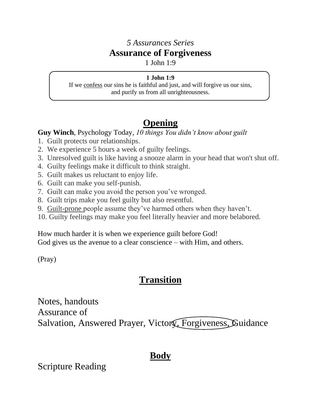### *5 Assurances Series* **Assurance of Forgiveness**

1 John 1:9

#### **1 John 1:9**

If we confess our sins he is faithful and just, and will forgive us our sins, and purify us from all unrighteousness.

## **Opening**

#### **Guy Winch**, Psychology Today, *10 things You didn't know about guilt*

- 1. Guilt protects our relationships.
- 2. We experience 5 hours a week of guilty feelings.
- 3. Unresolved guilt is like having a snooze alarm in your head that won't shut off.
- 4. Guilty feelings make it difficult to think straight.
- 5. Guilt makes us reluctant to enjoy life.
- 6. Guilt can make you self-punish.
- 7. Guilt can make you avoid the person you've wronged.
- 8. Guilt trips make you feel guilty but also resentful.
- 9. Guilt-prone people assume they've harmed others when they haven't.
- 10. Guilty feelings may make you feel literally heavier and more belabored.

How much harder it is when we experience guilt before God! God gives us the avenue to a clear conscience – with Him, and others.

(Pray)

## **Transition**

Notes, handouts Assurance of Salvation, Answered Prayer, Victory, Forgiveness, Guidance

### **Body**

Scripture Reading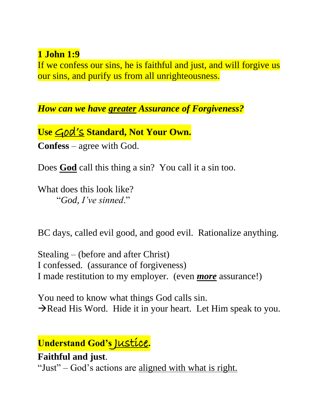### **1 John 1:9**

If we confess our sins, he is faithful and just, and will forgive us our sins, and purify us from all unrighteousness.

*How can we have greater Assurance of Forgiveness?*

Use *God's* Standard, Not Your Own. **Confess** – agree with God.

Does **God** call this thing a sin? You call it a sin too.

What does this look like? "*God, I've sinned*."

BC days, called evil good, and good evil. Rationalize anything.

Stealing – (before and after Christ) I confessed. (assurance of forgiveness) I made restitution to my employer. (even *more* assurance!)

You need to know what things God calls sin.  $\rightarrow$ Read His Word. Hide it in your heart. Let Him speak to you.

**Understand God's** Justice**.**

**Faithful and just**. "Just" – God's actions are aligned with what is right.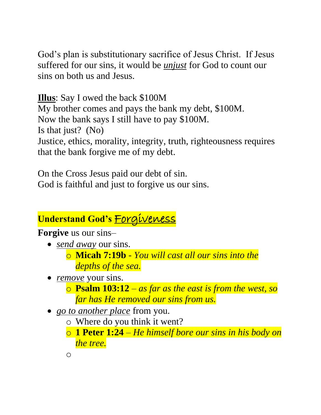God's plan is substitutionary sacrifice of Jesus Christ. If Jesus suffered for our sins, it would be *unjust* for God to count our sins on both us and Jesus.

**Illus**: Say I owed the back \$100M My brother comes and pays the bank my debt, \$100M. Now the bank says I still have to pay \$100M. Is that just? (No) Justice, ethics, morality, integrity, truth, righteousness requires that the bank forgive me of my debt.

On the Cross Jesus paid our debt of sin. God is faithful and just to forgive us our sins.

# **Understand God's** Forgiveness

**Forgive** us our sins–

- *send away* our sins.
	- o **Micah 7:19b** *- You will cast all our sins into the depths of the sea.*
- *remove* your sins.
	- o **Psalm 103:12**  *as far as the east is from the west, so far has He removed our sins from us.*
- *go to another place* from you.
	- o Where do you think it went?
	- o **1 Peter 1:24** *– He himself bore our sins in his body on the tree.*
	- o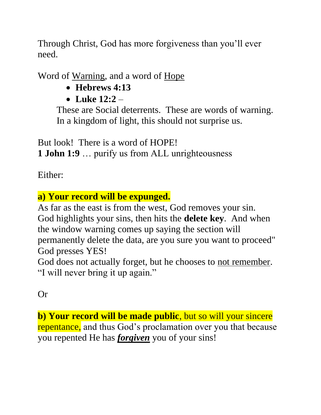Through Christ, God has more forgiveness than you'll ever need.

Word of Warning, and a word of Hope

- **Hebrews 4:13**
- **Luke 12:2** –

These are Social deterrents. These are words of warning. In a kingdom of light, this should not surprise us.

But look! There is a word of HOPE!

**1 John 1:9** … purify us from ALL unrighteousness

Either:

## **a) Your record will be expunged.**

As far as the east is from the west, God removes your sin. God highlights your sins, then hits the **delete key**. And when the window warning comes up saying the section will permanently delete the data, are you sure you want to proceed" God presses YES!

God does not actually forget, but he chooses to not remember. "I will never bring it up again."

Or

**b) Your record will be made public**, but so will your sincere repentance, and thus God's proclamation over you that because you repented He has *forgiven* you of your sins!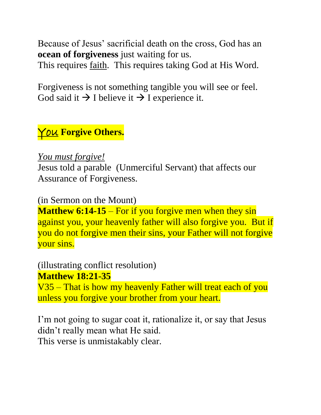Because of Jesus' sacrificial death on the cross, God has an **ocean of forgiveness** just waiting for us.

This requires *faith*. This requires taking God at His Word.

Forgiveness is not something tangible you will see or feel. God said it  $\rightarrow$  I believe it  $\rightarrow$  I experience it.

## You **Forgive Others.**

### *You must forgive!*

Jesus told a parable (Unmerciful Servant) that affects our Assurance of Forgiveness.

(in Sermon on the Mount)

**Matthew 6:14-15** – For if you forgive men when they sin against you, your heavenly father will also forgive you. But if you do not forgive men their sins, your Father will not forgive your sins.

### (illustrating conflict resolution) **Matthew 18:21-35**

V35 – That is how my heavenly Father will treat each of you unless you forgive your brother from your heart.

I'm not going to sugar coat it, rationalize it, or say that Jesus didn't really mean what He said. This verse is unmistakably clear.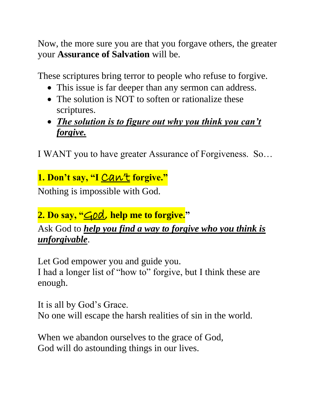Now, the more sure you are that you forgave others, the greater your **Assurance of Salvation** will be.

These scriptures bring terror to people who refuse to forgive.

- This issue is far deeper than any sermon can address.
- The solution is NOT to soften or rationalize these scriptures.
- *The solution is to figure out why you think you can't forgive.*

I WANT you to have greater Assurance of Forgiveness. So…

## **1. Don't say, "I** Can't **forgive."**

Nothing is impossible with God.

# **2. Do say, "**God, **help me to forgive."**

Ask God to *help you find a way to forgive who you think is unforgivable*.

Let God empower you and guide you. I had a longer list of "how to" forgive, but I think these are enough.

It is all by God's Grace. No one will escape the harsh realities of sin in the world.

When we abandon ourselves to the grace of God, God will do astounding things in our lives.